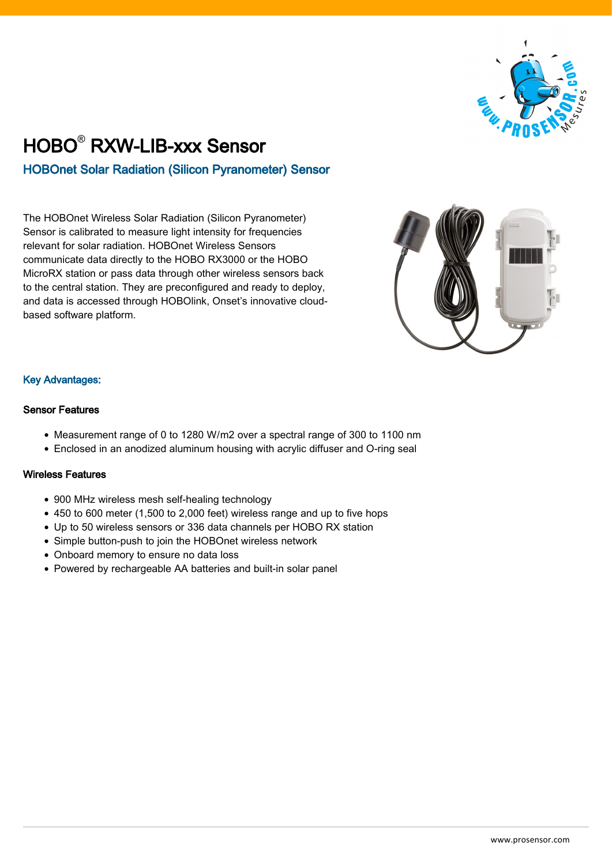

## HOBO® RXW-LIB-xxx Sensor HOBOnet Solar Radiation (Silicon Pyranometer) Sensor

The HOBOnet Wireless Solar Radiation (Silicon Pyranometer) Sensor is calibrated to measure light intensity for frequencies relevant for solar radiation. HOBOnet Wireless Sensors communicate data directly to the HOBO RX3000 or the HOBO MicroRX station or pass data through other wireless sensors back to the central station. They are preconfigured and ready to deploy, and data is accessed through HOBOlink, Onset's innovative cloudbased software platform.



## Key Advantages:

## Sensor Features

- Measurement range of 0 to 1280 W/m2 over a spectral range of 300 to 1100 nm
- Enclosed in an anodized aluminum housing with acrylic diffuser and O-ring seal

## Wireless Features

- 900 MHz wireless mesh self-healing technology
- 450 to 600 meter (1,500 to 2,000 feet) wireless range and up to five hops
- Up to 50 wireless sensors or 336 data channels per HOBO RX station
- Simple button-push to join the HOBOnet wireless network
- Onboard memory to ensure no data loss
- Powered by rechargeable AA batteries and built-in solar panel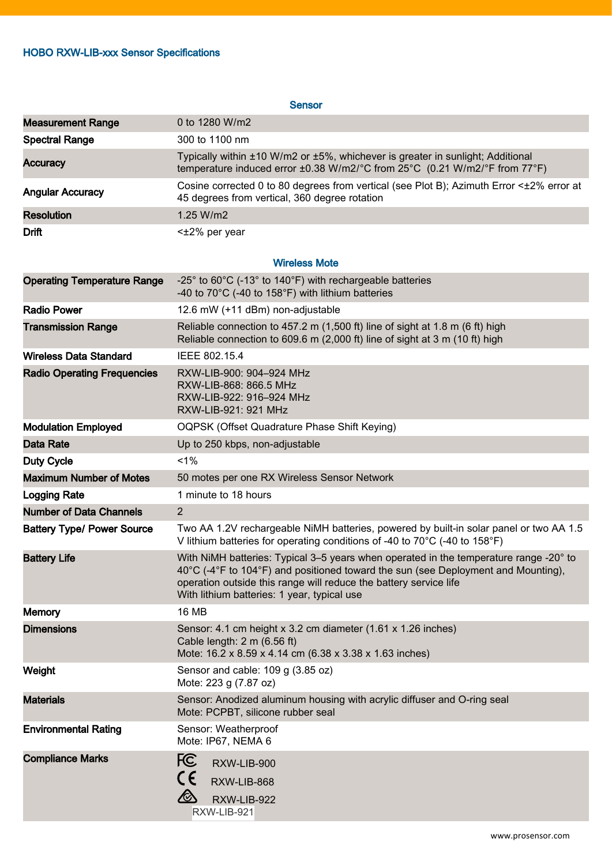| <b>Sensor</b>                      |                                                                                                                                                                                                                                                                                                |
|------------------------------------|------------------------------------------------------------------------------------------------------------------------------------------------------------------------------------------------------------------------------------------------------------------------------------------------|
| <b>Measurement Range</b>           | 0 to 1280 W/m2                                                                                                                                                                                                                                                                                 |
| <b>Spectral Range</b>              | 300 to 1100 nm                                                                                                                                                                                                                                                                                 |
| <b>Accuracy</b>                    | Typically within ±10 W/m2 or ±5%, whichever is greater in sunlight; Additional<br>temperature induced error ±0.38 W/m2/°C from 25°C (0.21 W/m2/°F from 77°F)                                                                                                                                   |
| <b>Angular Accuracy</b>            | Cosine corrected 0 to 80 degrees from vertical (see Plot B); Azimuth Error <±2% error at<br>45 degrees from vertical, 360 degree rotation                                                                                                                                                      |
| <b>Resolution</b>                  | 1.25 W/m2                                                                                                                                                                                                                                                                                      |
| <b>Drift</b>                       | $\leq$ $\pm$ 2% per year                                                                                                                                                                                                                                                                       |
| <b>Wireless Mote</b>               |                                                                                                                                                                                                                                                                                                |
| <b>Operating Temperature Range</b> | -25° to 60°C (-13° to 140°F) with rechargeable batteries<br>-40 to 70°C (-40 to 158°F) with lithium batteries                                                                                                                                                                                  |
| <b>Radio Power</b>                 | 12.6 mW (+11 dBm) non-adjustable                                                                                                                                                                                                                                                               |
| <b>Transmission Range</b>          | Reliable connection to 457.2 m (1,500 ft) line of sight at 1.8 m (6 ft) high<br>Reliable connection to 609.6 m (2,000 ft) line of sight at 3 m (10 ft) high                                                                                                                                    |
| <b>Wireless Data Standard</b>      | IEEE 802.15.4                                                                                                                                                                                                                                                                                  |
| <b>Radio Operating Frequencies</b> | RXW-LIB-900: 904-924 MHz<br>RXW-LIB-868: 866.5 MHz<br>RXW-LIB-922: 916-924 MHz<br>RXW-LIB-921: 921 MHz                                                                                                                                                                                         |
| <b>Modulation Employed</b>         | OQPSK (Offset Quadrature Phase Shift Keying)                                                                                                                                                                                                                                                   |
| <b>Data Rate</b>                   | Up to 250 kbps, non-adjustable                                                                                                                                                                                                                                                                 |
| <b>Duty Cycle</b>                  | 1%                                                                                                                                                                                                                                                                                             |
| <b>Maximum Number of Motes</b>     | 50 motes per one RX Wireless Sensor Network                                                                                                                                                                                                                                                    |
| <b>Logging Rate</b>                | 1 minute to 18 hours                                                                                                                                                                                                                                                                           |
| <b>Number of Data Channels</b>     | $\overline{2}$                                                                                                                                                                                                                                                                                 |
| <b>Battery Type/ Power Source</b>  | Two AA 1.2V rechargeable NiMH batteries, powered by built-in solar panel or two AA 1.5<br>V lithium batteries for operating conditions of -40 to 70°C (-40 to 158°F)                                                                                                                           |
| <b>Battery Life</b>                | With NiMH batteries: Typical 3-5 years when operated in the temperature range -20° to<br>40°C (-4°F to 104°F) and positioned toward the sun (see Deployment and Mounting),<br>operation outside this range will reduce the battery service life<br>With lithium batteries: 1 year, typical use |
| <b>Memory</b>                      | <b>16 MB</b>                                                                                                                                                                                                                                                                                   |
| <b>Dimensions</b>                  | Sensor: 4.1 cm height x 3.2 cm diameter (1.61 x 1.26 inches)<br>Cable length: $2 \text{ m}$ (6.56 ft)<br>Mote: 16.2 x 8.59 x 4.14 cm (6.38 x 3.38 x 1.63 inches)                                                                                                                               |
| Weight                             | Sensor and cable: 109 g (3.85 oz)<br>Mote: 223 g (7.87 oz)                                                                                                                                                                                                                                     |
| <b>Materials</b>                   | Sensor: Anodized aluminum housing with acrylic diffuser and O-ring seal<br>Mote: PCPBT, silicone rubber seal                                                                                                                                                                                   |
| <b>Environmental Rating</b>        | Sensor: Weatherproof<br>Mote: IP67, NEMA 6                                                                                                                                                                                                                                                     |
| <b>Compliance Marks</b>            | FC<br>RXW-LIB-900<br>CE<br>RXW-LIB-868<br>$\bigotimes$<br>RXW-LIB-922<br>RXW-LIB-921                                                                                                                                                                                                           |